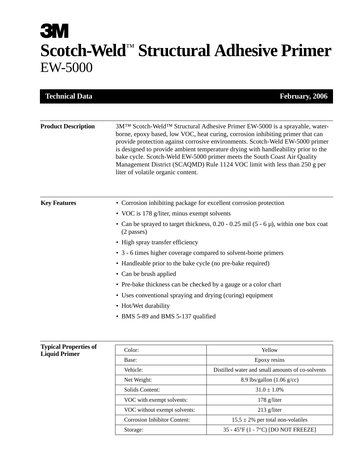# **3M Scotch-Weld**™ **Structural Adhesive Primer** EW-5000

| <b>Technical Data</b>        |                                                                                                                                                                                                                                                                                                                                                                                                                                                                                                                                     | February, 2006 |
|------------------------------|-------------------------------------------------------------------------------------------------------------------------------------------------------------------------------------------------------------------------------------------------------------------------------------------------------------------------------------------------------------------------------------------------------------------------------------------------------------------------------------------------------------------------------------|----------------|
|                              |                                                                                                                                                                                                                                                                                                                                                                                                                                                                                                                                     |                |
| <b>Product Description</b>   | 3MTM Scotch-WeldTM Structural Adhesive Primer EW-5000 is a sprayable, water-<br>borne, epoxy based, low VOC, heat curing, corrosion inhibiting primer that can<br>provide protection against corrosive environments. Scotch-Weld EW-5000 primer<br>is designed to provide ambient temperature drying with handleability prior to the<br>bake cycle. Scotch-Weld EW-5000 primer meets the South Coast Air Quality<br>Management District (SCAQMD) Rule 1124 VOC limit with less than 250 g per<br>liter of volatile organic content. |                |
| <b>Key Features</b>          | • Corrosion inhibiting package for excellent corrosion protection                                                                                                                                                                                                                                                                                                                                                                                                                                                                   |                |
|                              | • VOC is 178 g/liter, minus exempt solvents                                                                                                                                                                                                                                                                                                                                                                                                                                                                                         |                |
|                              | • Can be sprayed to target thickness, $0.20 - 0.25$ mil (5 - 6 $\mu$ ), within one box coat<br>(2 passes)                                                                                                                                                                                                                                                                                                                                                                                                                           |                |
|                              | • High spray transfer efficiency                                                                                                                                                                                                                                                                                                                                                                                                                                                                                                    |                |
|                              | • 3 - 6 times higher coverage compared to solvent-borne primers                                                                                                                                                                                                                                                                                                                                                                                                                                                                     |                |
|                              | • Handleable prior to the bake cycle (no pre-bake required)                                                                                                                                                                                                                                                                                                                                                                                                                                                                         |                |
|                              | • Can be brush applied                                                                                                                                                                                                                                                                                                                                                                                                                                                                                                              |                |
|                              | • Pre-bake thickness can be checked by a gauge or a color chart                                                                                                                                                                                                                                                                                                                                                                                                                                                                     |                |
|                              | • Uses conventional spraying and drying (curing) equipment                                                                                                                                                                                                                                                                                                                                                                                                                                                                          |                |
|                              | • Hot/Wet durability                                                                                                                                                                                                                                                                                                                                                                                                                                                                                                                |                |
|                              | • BMS 5-89 and BMS 5-137 qualified                                                                                                                                                                                                                                                                                                                                                                                                                                                                                                  |                |
|                              |                                                                                                                                                                                                                                                                                                                                                                                                                                                                                                                                     |                |
| <b>Typical Properties of</b> | Color:                                                                                                                                                                                                                                                                                                                                                                                                                                                                                                                              | Yellow         |
| <b>Liquid Primer</b>         | Base:                                                                                                                                                                                                                                                                                                                                                                                                                                                                                                                               | Epoxy resins   |
|                              |                                                                                                                                                                                                                                                                                                                                                                                                                                                                                                                                     |                |

| Base:                               | Epoxy resins                                     |
|-------------------------------------|--------------------------------------------------|
| Vehicle:                            | Distilled water and small amounts of co-solvents |
| Net Weight:                         | 8.9 lbs/gallon $(1.06 \text{ g/cc})$             |
| Solids Content:                     | $31.0 \pm 1.0\%$                                 |
| VOC with exempt solvents:           | $178$ g/liter                                    |
| VOC without exempt solvents:        | $213$ g/liter                                    |
| <b>Corrosion Inhibitor Content:</b> | $15.5 \pm 2\%$ per total non-volatiles           |
| Storage:                            | 35 - 45°F (1 - 7°C) [DO NOT FREEZE]              |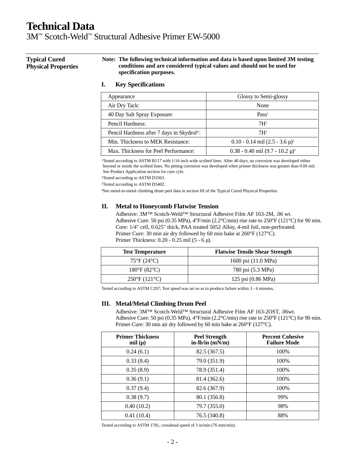3M™ Scotch-Weld™ Structural Adhesive Primer EW-5000

**Typical Cured Physical Properties** **Note: The following technical information and data is based upon limited 3M testing conditions and are considered typical values and should not be used for specification purposes.**

### **I. Key Specifications**

| Appearance                                             | Glossy to Semi-glossy                  |
|--------------------------------------------------------|----------------------------------------|
| Air Dry Tack:                                          | None                                   |
| 40 Day Salt Spray Exposure:                            | Pass <sup>1</sup>                      |
| Pencil Hardness:                                       | 7H <sup>2</sup>                        |
| Pencil Hardness after 7 days in Skydrol <sup>®</sup> : | $7H^2$                                 |
| Min. Thickness to MEK Resistance:                      | $0.10 - 0.14$ mil $(2.5 - 3.6 \mu)^3$  |
| Max. Thickness for Peel Performance:                   | $0.38 - 0.40$ mil $(9.7 - 10.2 \mu)^4$ |

<sup>1</sup>Tested according to ASTM B117 with 1/16 inch wide scribed lines. After 40 days, no corrosion was developed either beyond or inside the scribed lines. No pitting corrosion was developed when primer thickness was greater than 0.06 mil. See Product Application section for cure cyle.

2Tested according to ASTM D3363.

3Tested according to ASTM D5402.

4See metal-to-metal climbing drum peel data in section III of the Typical Cured Physical Properties.

#### **II. Metal to Honeycomb Flatwise Tension**

Adhesive: 3M™ Scotch-Weld™ Structural Adhesive Film AF 163-2M, .06 wt. Adhesive Cure: 50 psi (0.35 MPa),  $4^{\circ}$ F/min (2.2°C/min) rise rate to 250°F (121°C) for 90 min. Core: 1/4" cell, 0.625" thick, PAA treated 5052 Alloy, 4-mil foil, non-perforated. Primer Cure: 30 min air dry followed by 60 min bake at 260°F (127°C). Primer Thickness: 0.20 - 0.25 mil (5 - 6 µ).

| <b>Test Temperature</b>      | <b>Flatwise Tensile Shear Strength</b> |
|------------------------------|----------------------------------------|
| $75^{\circ}F(24^{\circ}C)$   | 1600 psi (11.0 MPa)                    |
| $180^{\circ}F(82^{\circ}C)$  | 780 psi (5.3 MPa)                      |
| $250^{\circ}F(121^{\circ}C)$ | 125 psi (0.86 MPa)                     |

Tested according to ASTM C297; Test speed was set so as to produce failure within 3 - 6 minutes.

#### **III. Metal/Metal Climbing Drum Peel**

Adhesive: 3M™ Scotch-Weld™ Structural Adhesive Film AF 163-2OST, .06wt. Adhesive Cure: 50 psi (0.35 MPa),  $4^{\circ}$ F/min (2.2°C/min) rise rate to 250°F (121°C) for 90 min. Primer Cure: 30 min air dry followed by 60 min bake at 260°F (127°C).

| <b>Primer Thickness</b><br>mil $(\mu)$ | <b>Peel Strength</b><br>$in-lb/in (mN/m)$ | <b>Percent Cohesive</b><br><b>Failure Mode</b> |
|----------------------------------------|-------------------------------------------|------------------------------------------------|
| 0.24(6.1)                              | 82.5 (367.5)                              | 100%                                           |
| 0.33(8.4)                              | 79.0 (351.9)                              | 100%                                           |
| 0.35(8.9)                              | 78.9 (351.4)                              | 100%                                           |
| 0.36(9.1)                              | 81.4 (362.6)                              | 100\%                                          |
| 0.37(9.4)                              | 82.6 (367.9)                              | 100%                                           |
| 0.38(9.7)                              | 80.1 (356.8)                              | 99%                                            |
| 0.40(10.2)                             | 79.7 (355.0)                              | 98%                                            |
| 0.41(10.4)                             | 76.5 (340.8)                              | 88%                                            |

Tested according to ASTM 1781, crosshead speed of 3 in/min (76 mm/min).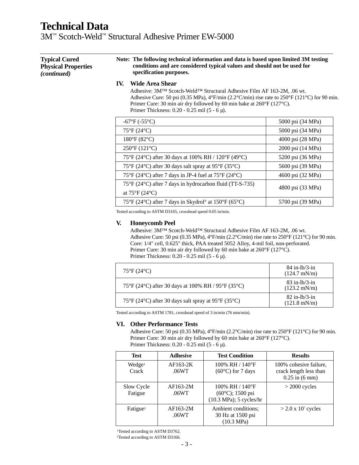3M™ Scotch-Weld™ Structural Adhesive Primer EW-5000

| <b>Typical Cured</b><br><b>Physical Properties</b><br>(continued) | Note: The following technical information and data is based upon limited 3M testing<br>conditions and are considered typical values and should not be used for<br>specification purposes.                                                                                                                                                                                                                                  |                   |
|-------------------------------------------------------------------|----------------------------------------------------------------------------------------------------------------------------------------------------------------------------------------------------------------------------------------------------------------------------------------------------------------------------------------------------------------------------------------------------------------------------|-------------------|
|                                                                   | IV.<br>Wide Area Shear<br>Adhesive: $3M^{TM}$ Scotch-Weld <sup>TM</sup> Structural Adhesive Film AF 163-2M, .06 wt.<br>Adhesive Cure: 50 psi (0.35 MPa), $4^{\circ}F/\text{min}$ (2.2 $^{\circ}C/\text{min}$ ) rise rate to 250 $^{\circ}F$ (121 $^{\circ}C$ ) for 90 min.<br>Primer Cure: 30 min air dry followed by 60 min bake at $260^{\circ}F(127^{\circ}C)$ .<br>Primer Thickness: $0.20 - 0.25$ mil $(5 - 6 \mu)$ . |                   |
|                                                                   | $-67^{\circ}F (-55^{\circ}C)$                                                                                                                                                                                                                                                                                                                                                                                              | 5000 psi (34 MPa) |
|                                                                   | $75^{\circ}F(24^{\circ}C)$                                                                                                                                                                                                                                                                                                                                                                                                 | 5000 psi (34 MPa) |
|                                                                   | $180^{\circ}F(82^{\circ}C)$                                                                                                                                                                                                                                                                                                                                                                                                | 4000 psi (28 MPa) |
|                                                                   | $250^{\circ}F(121^{\circ}C)$                                                                                                                                                                                                                                                                                                                                                                                               | 2000 psi (14 MPa) |
|                                                                   | 75°F (24°C) after 30 days at 100% RH / 120°F (49°C)                                                                                                                                                                                                                                                                                                                                                                        | 5200 psi (36 MPa) |
|                                                                   | 75°F (24°C) after 30 days salt spray at 95°F (35°C)                                                                                                                                                                                                                                                                                                                                                                        | 5600 psi (39 MPa) |
|                                                                   | 75°F (24°C) after 7 days in JP-4 fuel at 75°F (24°C)                                                                                                                                                                                                                                                                                                                                                                       | 4600 psi (32 MPa) |
|                                                                   | 75°F (24°C) after 7 days in hydrocarbon fluid (TT-S-735)<br>at $75^{\circ}F(24^{\circ}C)$                                                                                                                                                                                                                                                                                                                                  | 4800 psi (33 MPa) |

Tested according to ASTM D3165, crosshead speed 0.05 in/min.

#### **V. Honeycomb Peel**

Adhesive: 3M™ Scotch-Weld™ Structural Adhesive Film AF 163-2M, .06 wt. Adhesive Cure: 50 psi (0.35 MPa),  $4^{\circ}$ F/min (2.2 $^{\circ}$ C/min) rise rate to 250 $^{\circ}$ F (121 $^{\circ}$ C) for 90 min. Core: 1/4" cell, 0.625" thick, PAA treated 5052 Alloy, 4-mil foil, non-perforated. Primer Cure: 30 min air dry followed by 60 min bake at 260°F (127°C). Primer Thickness: 0.20 - 0.25 mil (5 - 6 µ).

75°F (24°C) after 7 days in Skydrol® at 150°F (65°C) 5700 psi (39 MPa)

| $75^{\circ}F(24^{\circ}C)$                                       | $84$ in-lb/ $3$ -in<br>$(124.7 \text{ mN/m})$ |
|------------------------------------------------------------------|-----------------------------------------------|
| 75°F (24°C) after 30 days at 100% RH / 95°F (35°C)               | $83$ in-lb/ $3$ -in<br>$(123.2 \text{ mN/m})$ |
| $75^{\circ}$ F (24 °C) after 30 days salt spray at 95 °F (35 °C) | $82$ in-lb/3-in<br>$(121.8 \text{ mN/m})$     |

Tested according to ASTM 1781, crosshead speed of 3 in/min (76 mm/min).

#### **VI. Other Performance Tests**

Adhesive Cure: 50 psi (0.35 MPa),  $4^{\circ}$ F/min (2.2°C/min) rise rate to 250°F (121°C) for 90 min. Primer Cure: 30 min air dry followed by 60 min bake at 260°F (127°C). Primer Thickness: 0.20 - 0.25 mil (5 - 6 µ).

| <b>Test</b>                 | <b>Adhesive</b>     | <b>Test Condition</b>                                                                         | <b>Results</b>                                                                 |
|-----------------------------|---------------------|-----------------------------------------------------------------------------------------------|--------------------------------------------------------------------------------|
| Wedge <sup>1</sup><br>Crack | $AF163-2K$<br>.06WT | 100% RH / $140^{\circ}$ F<br>$(60^{\circ}C)$ for 7 days                                       | 100% cohesive failure,<br>crack length less than<br>$0.25$ in $(6 \text{ mm})$ |
| Slow Cycle<br>Fatigue       | AF163-2M<br>.06WT   | 100% RH / $140^{\circ}$ F<br>$(60^{\circ}C)$ ; 1500 psi<br>$(10.3 \text{ MPa})$ ; 5 cycles/hr | $>$ 2000 cycles                                                                |
| Fatigue <sup>2</sup>        | AF163-2M<br>.06WT   | Ambient conditions;<br>30 Hz at 1500 psi<br>$(10.3 \text{ MPa})$                              | $>$ 2.0 x 10 <sup>7</sup> cycles                                               |

<sup>1</sup>Tested according to ASTM D3762.

2Tested according to ASTM D3166.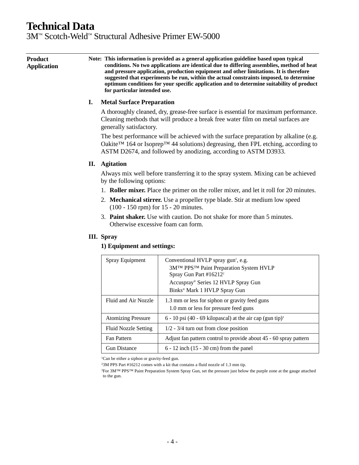3M™ Scotch-Weld™ Structural Adhesive Primer EW-5000

**Product Application Note: This information is provided as a general application guideline based upon typical conditions. No two applications are identical due to differing assemblies, method of heat and pressure application, production equipment and other limitations. It is therefore suggested that experiments be run, within the actual constraints imposed, to determine optimum conditions for your specific application and to determine suitability of product for particular intended use.**

### **I. Metal Surface Preparation**

A thoroughly cleaned, dry, grease-free surface is essential for maximum performance. Cleaning methods that will produce a break free water film on metal surfaces are generally satisfactory.

The best performance will be achieved with the surface preparation by alkaline (e.g. Oakite™ 164 or Isoprep™ 44 solutions) degreasing, then FPL etching, according to ASTM D2674, and followed by anodizing, according to ASTM D3933.

### **II. Agitation**

Always mix well before transferring it to the spray system. Mixing can be achieved by the following options:

- 1. **Roller mixer.** Place the primer on the roller mixer, and let it roll for 20 minutes.
- 2. **Mechanical stirrer.** Use a propeller type blade. Stir at medium low speed (100 - 150 rpm) for 15 - 20 minutes.
- 3. **Paint shaker.** Use with caution. Do not shake for more than 5 minutes. Otherwise excessive foam can form.

### **III. Spray**

### **1) Equipment and settings:**

| Spray Equipment             | Conventional HVLP spray gun <sup>1</sup> , e.g.<br>3MTM PPSTM Paint Preparation System HVLP<br>Spray Gun Part #16212 <sup>2</sup><br>Accuspray® Series 12 HVLP Spray Gun<br>Binks <sup>®</sup> Mark 1 HVLP Spray Gun |
|-----------------------------|----------------------------------------------------------------------------------------------------------------------------------------------------------------------------------------------------------------------|
| Fluid and Air Nozzle        | 1.3 mm or less for siphon or gravity feed guns<br>1.0 mm or less for pressure feed guns                                                                                                                              |
| <b>Atomizing Pressure</b>   | 6 - 10 psi (40 - 69 kilopascal) at the air cap (gun tip) <sup>3</sup>                                                                                                                                                |
| <b>Fluid Nozzle Setting</b> | $1/2 - 3/4$ turn out from close position                                                                                                                                                                             |
| Fan Pattern                 | Adjust fan pattern control to provide about 45 - 60 spray pattern                                                                                                                                                    |
| <b>Gun Distance</b>         | $6 - 12$ inch $(15 - 30$ cm) from the panel                                                                                                                                                                          |

<sup>1</sup>Can be either a siphon or gravity-feed gun.

23M PPS Part #16212 comes with a kit that contains a fluid nozzle of 1.3 mm tip.

<sup>&</sup>lt;sup>3</sup>For 3M™ PPS™ Paint Preparation System Spray Gun, set the pressure just below the purple zone at the gauge attached to the gun.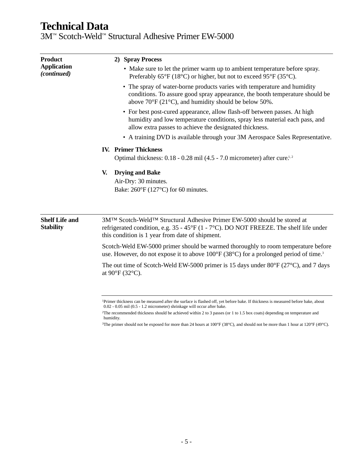3M™ Scotch-Weld™ Structural Adhesive Primer EW-5000

| <b>Product</b>                            | 2) Spray Process                                                                                                                                                                                                                      |  |  |
|-------------------------------------------|---------------------------------------------------------------------------------------------------------------------------------------------------------------------------------------------------------------------------------------|--|--|
| <b>Application</b><br><i>(continued)</i>  | • Make sure to let the primer warm up to ambient temperature before spray.<br>Preferably $65^{\circ}F(18^{\circ}C)$ or higher, but not to exceed $95^{\circ}F(35^{\circ}C)$ .                                                         |  |  |
|                                           | • The spray of water-borne products varies with temperature and humidity<br>conditions. To assure good spray appearance, the booth temperature should be<br>above $70^{\circ}$ F (21 $^{\circ}$ C), and humidity should be below 50%. |  |  |
|                                           | • For best post-cured appearance, allow flash-off between passes. At high<br>humidity and low temperature conditions, spray less material each pass, and<br>allow extra passes to achieve the designated thickness.                   |  |  |
|                                           | • A training DVD is available through your 3M Aerospace Sales Representative.                                                                                                                                                         |  |  |
|                                           | <b>IV. Primer Thickness</b><br>Optimal thickness: 0.18 - 0.28 mil (4.5 - 7.0 micrometer) after cure. <sup>1,2</sup>                                                                                                                   |  |  |
| V.                                        | <b>Drying and Bake</b>                                                                                                                                                                                                                |  |  |
|                                           | Air-Dry: 30 minutes.                                                                                                                                                                                                                  |  |  |
|                                           | Bake: $260^{\circ}F(127^{\circ}C)$ for 60 minutes.                                                                                                                                                                                    |  |  |
| <b>Shelf Life and</b><br><b>Stability</b> | 3M™ Scotch-Weld™ Structural Adhesive Primer EW-5000 should be stored at<br>refrigerated condition, e.g. $35 - 45^{\circ}F (1 - 7^{\circ}C)$ . DO NOT FREEZE. The shelf life under<br>this condition is 1 year from date of shipment.  |  |  |
|                                           | Scotch-Weld EW-5000 primer should be warmed thoroughly to room temperature before<br>use. However, do not expose it to above 100°F (38°C) for a prolonged period of time. <sup>3</sup>                                                |  |  |
|                                           | The out time of Scotch-Weld EW-5000 primer is 15 days under $80^{\circ}F(27^{\circ}C)$ , and 7 days<br>at $90^{\circ}F(32^{\circ}C)$ .                                                                                                |  |  |
|                                           |                                                                                                                                                                                                                                       |  |  |

<sup>1</sup>Primer thickness can be measured after the surface is flashed off, yet before bake. If thickness is measured before bake, about 0.02 - 0.05 mil (0.5 - 1.2 micrometer) shrinkage will occur after bake.

<sup>2</sup>The recommended thickness should be achieved within 2 to 3 passes (or 1 to 1.5 box coats) depending on temperature and humidity.

<sup>3</sup>The primer should not be exposed for more than 24 hours at 100°F (38°C), and should not be more than 1 hour at 120°F (49°C).